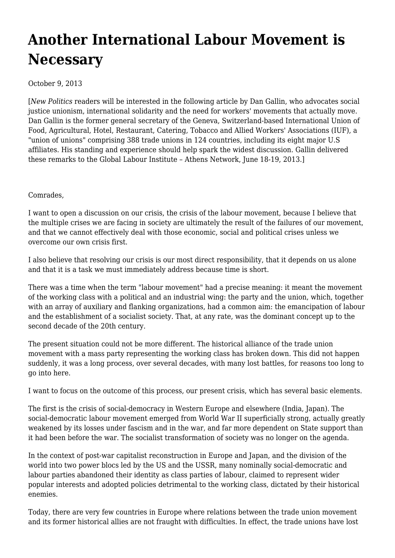## **[Another International Labour Movement is](https://newpol.org/another-international-labour-movement-necessary/) [Necessary](https://newpol.org/another-international-labour-movement-necessary/)**

October 9, 2013

[*New Politics* readers will be interested in the following article by Dan Gallin, who advocates social justice unionism, international solidarity and the need for workers' movements that actually move. Dan Gallin is the former general secretary of the Geneva, Switzerland-based International Union of Food, Agricultural, Hotel, Restaurant, Catering, Tobacco and Allied Workers' Associations [\(IUF](http://cms.iuf.org/)), a "union of unions" comprising [388 trade unions in 124 countries,](http://cms.iuf.org/?q=node/506) including its eight major U.S affiliates. His standing and experience should help spark the widest discussion. Gallin delivered these remarks to the Global Labour Institute – Athens Network, June 18-19, 2013.]

Comrades,

I want to open a discussion on our crisis, the crisis of the labour movement, because I believe that the multiple crises we are facing in society are ultimately the result of the failures of our movement, and that we cannot effectively deal with those economic, social and political crises unless we overcome our own crisis first.

I also believe that resolving our crisis is our most direct responsibility, that it depends on us alone and that it is a task we must immediately address because time is short.

There was a time when the term "labour movement" had a precise meaning: it meant the movement of the working class with a political and an industrial wing: the party and the union, which, together with an array of auxiliary and flanking organizations, had a common aim: the emancipation of labour and the establishment of a socialist society. That, at any rate, was the dominant concept up to the second decade of the 20th century.

The present situation could not be more different. The historical alliance of the trade union movement with a mass party representing the working class has broken down. This did not happen suddenly, it was a long process, over several decades, with many lost battles, for reasons too long to go into here.

I want to focus on the outcome of this process, our present crisis, which has several basic elements.

The first is the crisis of social-democracy in Western Europe and elsewhere (India, Japan). The social-democratic labour movement emerged from World War II superficially strong, actually greatly weakened by its losses under fascism and in the war, and far more dependent on State support than it had been before the war. The socialist transformation of society was no longer on the agenda.

In the context of post-war capitalist reconstruction in Europe and Japan, and the division of the world into two power blocs led by the US and the USSR, many nominally social-democratic and labour parties abandoned their identity as class parties of labour, claimed to represent wider popular interests and adopted policies detrimental to the working class, dictated by their historical enemies.

Today, there are very few countries in Europe where relations between the trade union movement and its former historical allies are not fraught with difficulties. In effect, the trade unions have lost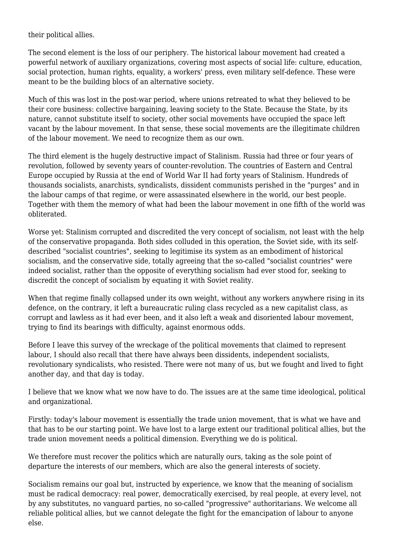their political allies.

The second element is the loss of our periphery. The historical labour movement had created a powerful network of auxiliary organizations, covering most aspects of social life: culture, education, social protection, human rights, equality, a workers' press, even military self-defence. These were meant to be the building blocs of an alternative society.

Much of this was lost in the post-war period, where unions retreated to what they believed to be their core business: collective bargaining, leaving society to the State. Because the State, by its nature, cannot substitute itself to society, other social movements have occupied the space left vacant by the labour movement. In that sense, these social movements are the illegitimate children of the labour movement. We need to recognize them as our own.

The third element is the hugely destructive impact of Stalinism. Russia had three or four years of revolution, followed by seventy years of counter-revolution. The countries of Eastern and Central Europe occupied by Russia at the end of World War II had forty years of Stalinism. Hundreds of thousands socialists, anarchists, syndicalists, dissident communists perished in the "purges" and in the labour camps of that regime, or were assassinated elsewhere in the world, our best people. Together with them the memory of what had been the labour movement in one fifth of the world was obliterated.

Worse yet: Stalinism corrupted and discredited the very concept of socialism, not least with the help of the conservative propaganda. Both sides colluded in this operation, the Soviet side, with its selfdescribed "socialist countries", seeking to legitimise its system as an embodiment of historical socialism, and the conservative side, totally agreeing that the so-called "socialist countries" were indeed socialist, rather than the opposite of everything socialism had ever stood for, seeking to discredit the concept of socialism by equating it with Soviet reality.

When that regime finally collapsed under its own weight, without any workers anywhere rising in its defence, on the contrary, it left a bureaucratic ruling class recycled as a new capitalist class, as corrupt and lawless as it had ever been, and it also left a weak and disoriented labour movement, trying to find its bearings with difficulty, against enormous odds.

Before I leave this survey of the wreckage of the political movements that claimed to represent labour, I should also recall that there have always been dissidents, independent socialists, revolutionary syndicalists, who resisted. There were not many of us, but we fought and lived to fight another day, and that day is today.

I believe that we know what we now have to do. The issues are at the same time ideological, political and organizational.

Firstly: today's labour movement is essentially the trade union movement, that is what we have and that has to be our starting point. We have lost to a large extent our traditional political allies, but the trade union movement needs a political dimension. Everything we do is political.

We therefore must recover the politics which are naturally ours, taking as the sole point of departure the interests of our members, which are also the general interests of society.

Socialism remains our goal but, instructed by experience, we know that the meaning of socialism must be radical democracy: real power, democratically exercised, by real people, at every level, not by any substitutes, no vanguard parties, no so-called "progressive" authoritarians. We welcome all reliable political allies, but we cannot delegate the fight for the emancipation of labour to anyone else.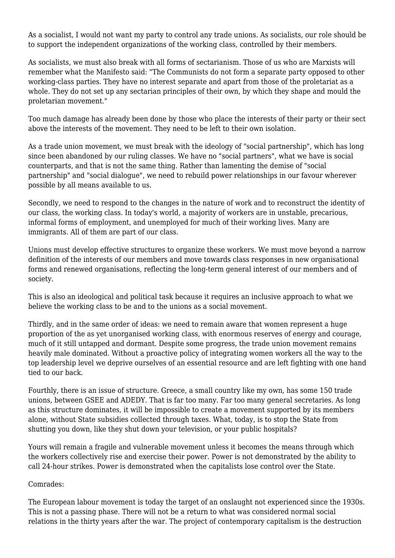As a socialist, I would not want my party to control any trade unions. As socialists, our role should be to support the independent organizations of the working class, controlled by their members.

As socialists, we must also break with all forms of sectarianism. Those of us who are Marxists will remember what the Manifesto said: "The Communists do not form a separate party opposed to other working-class parties. They have no interest separate and apart from those of the proletariat as a whole. They do not set up any sectarian principles of their own, by which they shape and mould the proletarian movement."

Too much damage has already been done by those who place the interests of their party or their sect above the interests of the movement. They need to be left to their own isolation.

As a trade union movement, we must break with the ideology of "social partnership", which has long since been abandoned by our ruling classes. We have no "social partners", what we have is social counterparts, and that is not the same thing. Rather than lamenting the demise of "social partnership" and "social dialogue", we need to rebuild power relationships in our favour wherever possible by all means available to us.

Secondly, we need to respond to the changes in the nature of work and to reconstruct the identity of our class, the working class. In today's world, a majority of workers are in unstable, precarious, informal forms of employment, and unemployed for much of their working lives. Many are immigrants. All of them are part of our class.

Unions must develop effective structures to organize these workers. We must move beyond a narrow definition of the interests of our members and move towards class responses in new organisational forms and renewed organisations, reflecting the long-term general interest of our members and of society.

This is also an ideological and political task because it requires an inclusive approach to what we believe the working class to be and to the unions as a social movement.

Thirdly, and in the same order of ideas: we need to remain aware that women represent a huge proportion of the as yet unorganised working class, with enormous reserves of energy and courage, much of it still untapped and dormant. Despite some progress, the trade union movement remains heavily male dominated. Without a proactive policy of integrating women workers all the way to the top leadership level we deprive ourselves of an essential resource and are left fighting with one hand tied to our back.

Fourthly, there is an issue of structure. Greece, a small country like my own, has some 150 trade unions, between GSEE and ADEDY. That is far too many. Far too many general secretaries. As long as this structure dominates, it will be impossible to create a movement supported by its members alone, without State subsidies collected through taxes. What, today, is to stop the State from shutting you down, like they shut down your television, or your public hospitals?

Yours will remain a fragile and vulnerable movement unless it becomes the means through which the workers collectively rise and exercise their power. Power is not demonstrated by the ability to call 24-hour strikes. Power is demonstrated when the capitalists lose control over the State.

Comrades:

The European labour movement is today the target of an onslaught not experienced since the 1930s. This is not a passing phase. There will not be a return to what was considered normal social relations in the thirty years after the war. The project of contemporary capitalism is the destruction